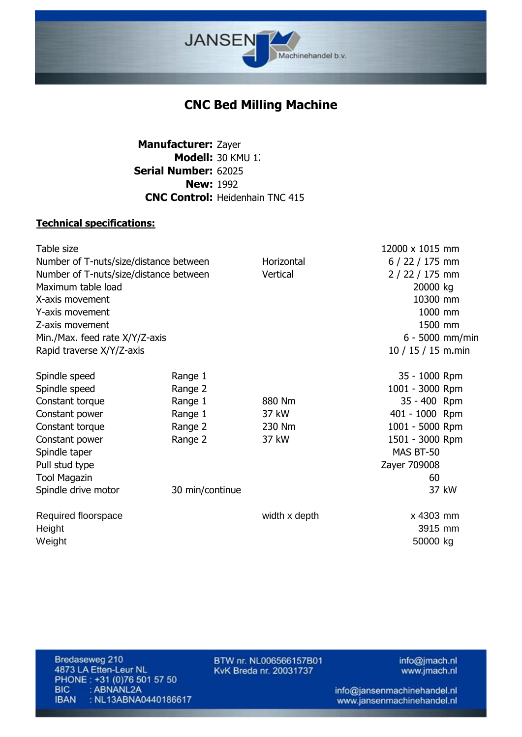

## **CNC Bed Milling Machine**

Manufacturer: Zayer **Modell:** 30 KMU 1. 62025 **Serial Number: New: 1992 CNC Control:** Heidenhain TNC 415

## **Technical specifications:**

|                                        |               | 12000 x 1015 mm    |       |
|----------------------------------------|---------------|--------------------|-------|
| Number of T-nuts/size/distance between | Horizontal    | $6/22/175$ mm      |       |
| Number of T-nuts/size/distance between | Vertical      | 2 / 22 / 175 mm    |       |
|                                        |               | 20000 kg           |       |
|                                        |               | 10300 mm           |       |
|                                        |               | 1000 mm            |       |
|                                        |               | 1500 mm            |       |
|                                        |               | 6 - 5000 mm/min    |       |
|                                        |               | 10 / 15 / 15 m.min |       |
| Range 1                                |               | 35 - 1000 Rpm      |       |
| Range 2                                |               | 1001 - 3000 Rpm    |       |
| Range 1                                | 880 Nm        | 35 - 400 Rpm       |       |
| Range 1                                | 37 kW         | 401 - 1000 Rpm     |       |
| Range 2                                | 230 Nm        | 1001 - 5000 Rpm    |       |
| Range 2                                | 37 kW         | 1501 - 3000 Rpm    |       |
|                                        |               | MAS BT-50          |       |
|                                        |               | Zayer 709008       |       |
|                                        |               | 60                 |       |
| 30 min/continue                        |               |                    | 37 kW |
|                                        | width x depth | x 4303 mm          |       |
|                                        |               | 3915 mm            |       |
|                                        |               | 50000 kg           |       |
|                                        |               |                    |       |

Bredaseweg 210 4873 LA Etten-Leur NL PHONE: +31 (0)76 501 57 50 **BIC** : ABNANL2A **IBAN** : NL13ABNA0440186617

BTW nr. NL006566157B01 KvK Breda nr. 20031737

info@jmach.nl www.jmach.nl

info@jansenmachinehandel.nl www.jansenmachinehandel.nl